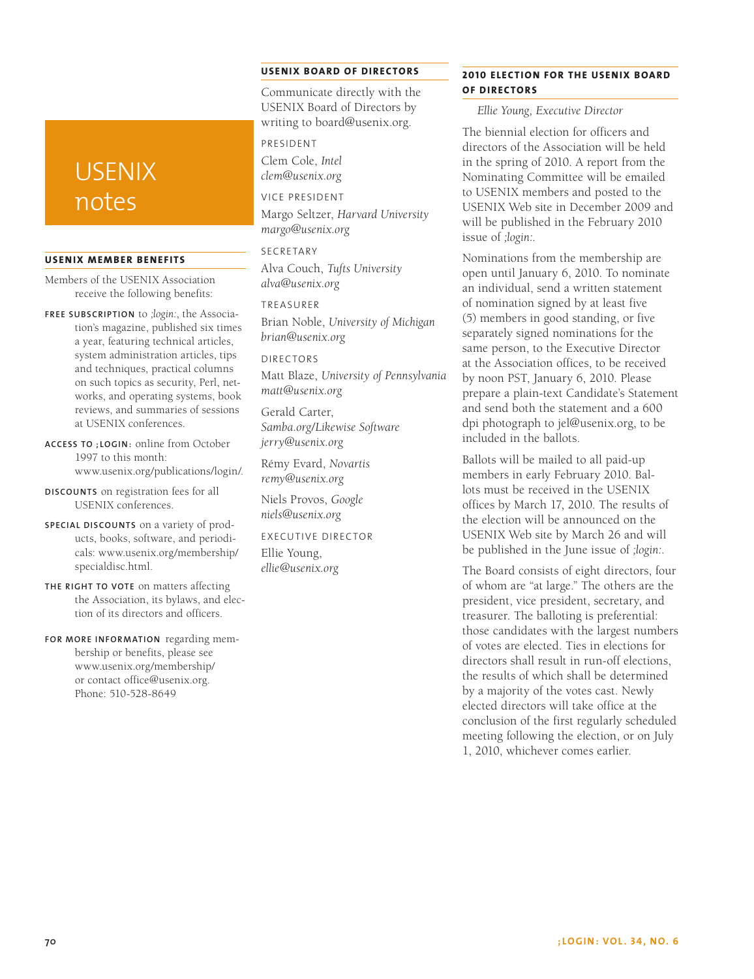# **USENIX** notes

#### **USENIX Member Benefits**

Members of the USENIX Association receive the following benefits:

**Free subscrip tion** to *;login:*, the Association's magazine, published six times a year, featuring technical articles, system administration articles, tips and techniques, practical columns on such topics as security, Perl, networks, and operating systems, book reviews, and summaries of sessions at USENIX conferences.

**Access to ;login :** online from October 1997 to this month: www.usenix.org/publications/login/.

**Discounts** on registration fees for all USENIX conferences.

**Special discounts** on a variety of products, books, software, and periodicals: www.usenix.org/membership/ specialdisc.html.

**The right to vote** on matters affecting the Association, its bylaws, and election of its directors and officers.

**For more information** regarding membership or benefits, please see www.usenix.org/membership/ or contact office@usenix.org. Phone: 510-528-8649

## **USENIX BOARD OF DIRECTORS**

Communicate directly with the USENIX Board of Directors by writing to board@usenix.org.

#### President

Clem Cole, *Intel clem@usenix.org*

Vice President

Margo Seltzer, *Harvard University margo@usenix.org*

SECRETARY Alva Couch, *Tufts University alva@usenix.org*

#### Treasurer

Brian Noble, *University of Michigan brian@usenix.org*

Directors

Matt Blaze, *University of Pennsylvania matt@usenix.org*

Gerald Carter, *Samba.org/Likewise Software jerry@usenix.org*

Rémy Evard, *Novartis remy@usenix.org*

Niels Provos, *Google niels@usenix.org*

Executive Director Ellie Young, *ellie@usenix.org*

# **2010 ELECTION FOR THE USENIX BOARD OF DIRECTORS**

*Ellie Young, Executive Director*

The biennial election for officers and directors of the Association will be held in the spring of 2010. A report from the Nominating Committee will be emailed to USENIX members and posted to the USENIX Web site in December 2009 and will be published in the February 2010 issue of *;login:*.

Nominations from the membership are open until January 6, 2010. To nominate an individual, send a written statement of nomination signed by at least five (5) members in good standing, or five separately signed nominations for the same person, to the Executive Director at the Association offices, to be received by noon PST, January 6, 2010. Please prepare a plain-text Candidate's Statement and send both the statement and a 600 dpi photograph to jel@usenix.org, to be included in the ballots.

Ballots will be mailed to all paid-up members in early February 2010. Ballots must be received in the USENIX offices by March 17, 2010. The results of the election will be announced on the USENIX Web site by March 26 and will be published in the June issue of *;login:*.

The Board consists of eight directors, four of whom are "at large." The others are the president, vice president, secretary, and treasurer. The balloting is preferential: those candidates with the largest numbers of votes are elected. Ties in elections for directors shall result in run-off elections, the results of which shall be determined by a majority of the votes cast. Newly elected directors will take office at the conclusion of the first regularly scheduled meeting following the election, or on July 1, 2010, whichever comes earlier.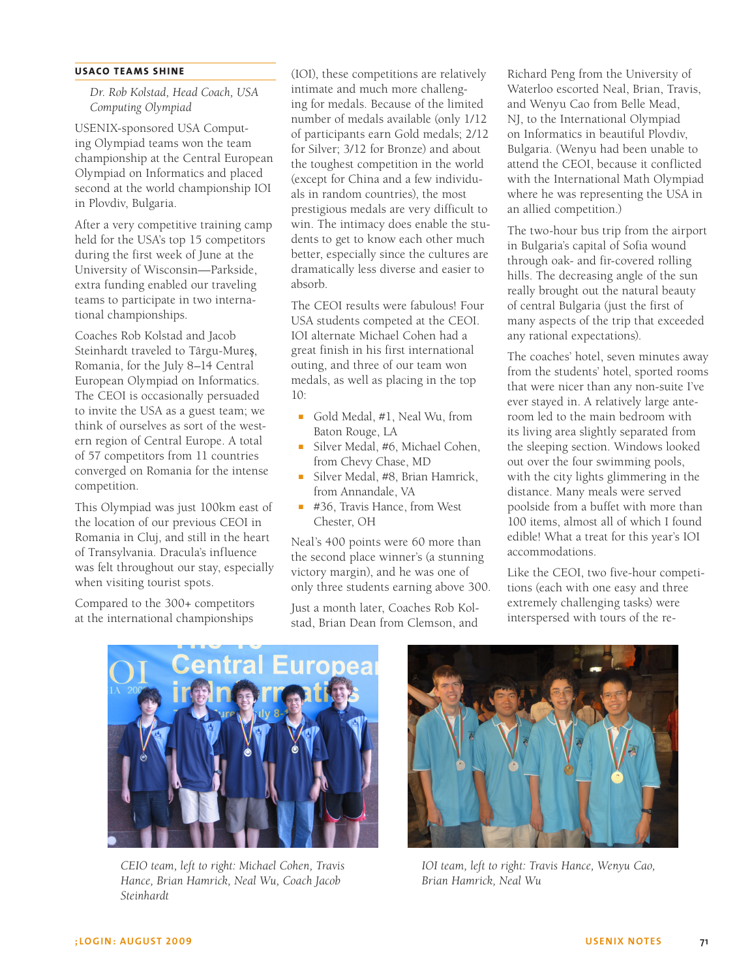## **USACO Teams Shine**

*Dr. Rob Kolstad, Head Coach, USA Computing Olympiad*

USENIX-sponsored USA Computing Olympiad teams won the team championship at the Central European Olympiad on Informatics and placed second at the world championship IOI in Plovdiv, Bulgaria.

After a very competitive training camp held for the USA's top 15 competitors during the first week of June at the University of Wisconsin—Parkside, extra funding enabled our traveling teams to participate in two international championships.

Coaches Rob Kolstad and Jacob Steinhardt traveled to Târgu-Mureş, Romania, for the July 8–14 Central European Olympiad on Informatics. The CEOI is occasionally persuaded to invite the USA as a guest team; we think of ourselves as sort of the western region of Central Europe. A total of 57 competitors from 11 countries converged on Romania for the intense competition.

This Olympiad was just 100km east of the location of our previous CEOI in Romania in Cluj, and still in the heart of Transylvania. Dracula's influence was felt throughout our stay, especially when visiting tourist spots.

Compared to the 300+ competitors at the international championships

(IOI), these competitions are relatively intimate and much more challenging for medals. Because of the limited number of medals available (only 1/12 of participants earn Gold medals; 2/12 for Silver; 3/12 for Bronze) and about the toughest competition in the world (except for China and a few individuals in random countries), the most prestigious medals are very difficult to win. The intimacy does enable the students to get to know each other much better, especially since the cultures are dramatically less diverse and easier to absorb.

The CEOI results were fabulous! Four USA students competed at the CEOI. IOI alternate Michael Cohen had a great finish in his first international outing, and three of our team won medals, as well as placing in the top 10:

- Gold Medal, #1, Neal Wu, from Baton Rouge, LA
- Silver Medal, #6, Michael Cohen, from Chevy Chase, MD
- Silver Medal, #8, Brian Hamrick, from Annandale, VA
- #36, Travis Hance, from West Chester, OH

Neal's 400 points were 60 more than the second place winner's (a stunning victory margin), and he was one of only three students earning above 300.

Just a month later, Coaches Rob Kolstad, Brian Dean from Clemson, and

Richard Peng from the University of Waterloo escorted Neal, Brian, Travis, and Wenyu Cao from Belle Mead, NJ, to the International Olympiad on Informatics in beautiful Plovdiv, Bulgaria. (Wenyu had been unable to attend the CEOI, because it conflicted with the International Math Olympiad where he was representing the USA in an allied competition.)

The two-hour bus trip from the airport in Bulgaria's capital of Sofia wound through oak- and fir-covered rolling hills. The decreasing angle of the sun really brought out the natural beauty of central Bulgaria (just the first of many aspects of the trip that exceeded any rational expectations).

The coaches' hotel, seven minutes away from the students' hotel, sported rooms that were nicer than any non-suite I've ever stayed in. A relatively large anteroom led to the main bedroom with its living area slightly separated from the sleeping section. Windows looked out over the four swimming pools, with the city lights glimmering in the distance. Many meals were served poolside from a buffet with more than 100 items, almost all of which I found edible! What a treat for this year's IOI accommodations.

Like the CEOI, two five-hour competitions (each with one easy and three extremely challenging tasks) were interspersed with tours of the re-



*CEIO team, left to right: Michael Cohen, Travis Hance, Brian Hamrick, Neal Wu, Coach Jacob Steinhardt*



*IOI team, left to right: Travis Hance, Wenyu Cao, Brian Hamrick, Neal Wu*